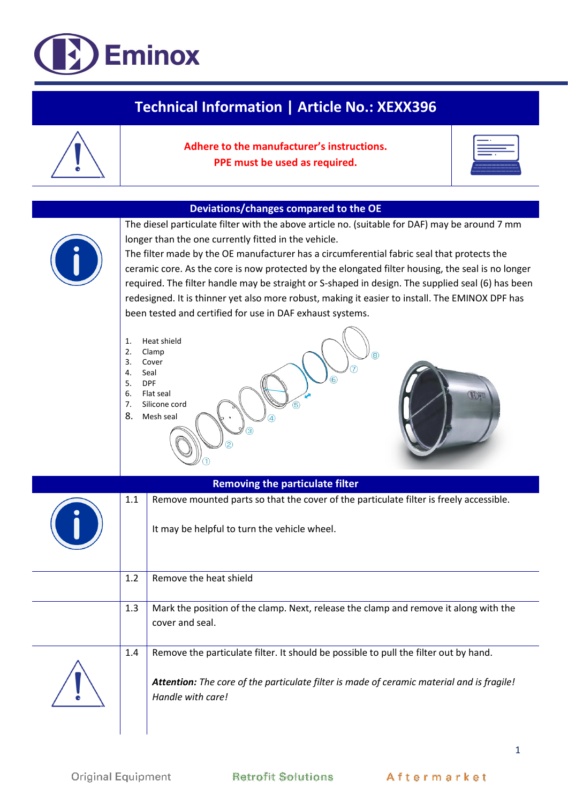## **Eminox**

| Technical Information   Article No.: XEXX396                                                                                            |                                                                                                                                                                                                                                                                                                                                                                                                                                                                                                                                                                                                                                                                                                                                                                                                                                |                                                                                                                                                                                                        |  |  |
|-----------------------------------------------------------------------------------------------------------------------------------------|--------------------------------------------------------------------------------------------------------------------------------------------------------------------------------------------------------------------------------------------------------------------------------------------------------------------------------------------------------------------------------------------------------------------------------------------------------------------------------------------------------------------------------------------------------------------------------------------------------------------------------------------------------------------------------------------------------------------------------------------------------------------------------------------------------------------------------|--------------------------------------------------------------------------------------------------------------------------------------------------------------------------------------------------------|--|--|
|                                                                                                                                         |                                                                                                                                                                                                                                                                                                                                                                                                                                                                                                                                                                                                                                                                                                                                                                                                                                | Adhere to the manufacturer's instructions.<br>PPE must be used as required.                                                                                                                            |  |  |
|                                                                                                                                         |                                                                                                                                                                                                                                                                                                                                                                                                                                                                                                                                                                                                                                                                                                                                                                                                                                |                                                                                                                                                                                                        |  |  |
|                                                                                                                                         | Deviations/changes compared to the OE<br>The diesel particulate filter with the above article no. (suitable for DAF) may be around 7 mm<br>longer than the one currently fitted in the vehicle.<br>The filter made by the OE manufacturer has a circumferential fabric seal that protects the<br>ceramic core. As the core is now protected by the elongated filter housing, the seal is no longer<br>required. The filter handle may be straight or S-shaped in design. The supplied seal (6) has been<br>redesigned. It is thinner yet also more robust, making it easier to install. The EMINOX DPF has<br>been tested and certified for use in DAF exhaust systems.<br>Heat shield<br>1.<br>2.<br>Clamp<br>3.<br>Cover<br>4.<br>Seal<br>5.<br><b>DPF</b><br>6.<br>Flat seal<br>Silicone cord<br>7.<br>5<br>8.<br>Mesh seal |                                                                                                                                                                                                        |  |  |
| <b>Removing the particulate filter</b><br>Remove mounted parts so that the cover of the particulate filter is freely accessible.<br>1.1 |                                                                                                                                                                                                                                                                                                                                                                                                                                                                                                                                                                                                                                                                                                                                                                                                                                |                                                                                                                                                                                                        |  |  |
|                                                                                                                                         |                                                                                                                                                                                                                                                                                                                                                                                                                                                                                                                                                                                                                                                                                                                                                                                                                                | It may be helpful to turn the vehicle wheel.                                                                                                                                                           |  |  |
|                                                                                                                                         | 1.2                                                                                                                                                                                                                                                                                                                                                                                                                                                                                                                                                                                                                                                                                                                                                                                                                            | Remove the heat shield                                                                                                                                                                                 |  |  |
|                                                                                                                                         | 1.3                                                                                                                                                                                                                                                                                                                                                                                                                                                                                                                                                                                                                                                                                                                                                                                                                            | Mark the position of the clamp. Next, release the clamp and remove it along with the<br>cover and seal.                                                                                                |  |  |
|                                                                                                                                         | 1.4                                                                                                                                                                                                                                                                                                                                                                                                                                                                                                                                                                                                                                                                                                                                                                                                                            | Remove the particulate filter. It should be possible to pull the filter out by hand.<br>Attention: The core of the particulate filter is made of ceramic material and is fragile!<br>Handle with care! |  |  |